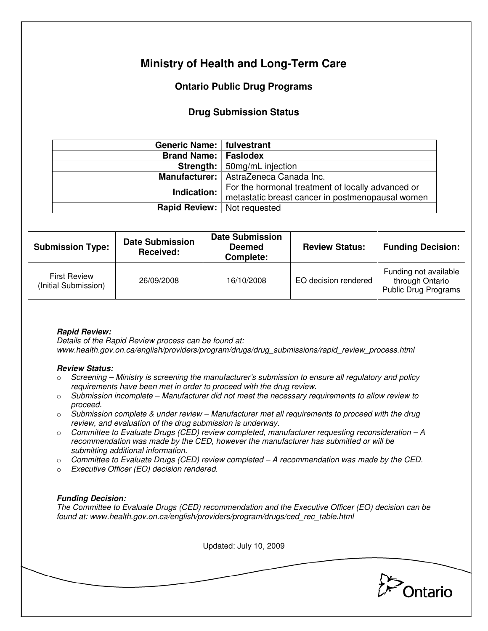# **Ministry of Health and Long-Term Care**

## **Ontario Public Drug Programs**

### **Drug Submission Status**

| Generic Name:   fulvestrant |                                                   |  |  |
|-----------------------------|---------------------------------------------------|--|--|
| <b>Brand Name: Faslodex</b> |                                                   |  |  |
|                             | <b>Strength:</b> 50mg/mL injection                |  |  |
|                             | Manufacturer:   AstraZeneca Canada Inc.           |  |  |
| Indication:                 | For the hormonal treatment of locally advanced or |  |  |
|                             | metastatic breast cancer in postmenopausal women  |  |  |
| <b>Rapid Review:</b>        | Not requested                                     |  |  |

| <b>Submission Type:</b>                     | <b>Date Submission</b><br>Received: | <b>Date Submission</b><br><b>Deemed</b><br>Complete: | <b>Review Status:</b> | <b>Funding Decision:</b>                                         |
|---------------------------------------------|-------------------------------------|------------------------------------------------------|-----------------------|------------------------------------------------------------------|
| <b>First Review</b><br>(Initial Submission) | 26/09/2008                          | 16/10/2008                                           | EO decision rendered  | Funding not available<br>through Ontario<br>Public Drug Programs |

### **Rapid Review:**

Details of the Rapid Review process can be found at: www.health.gov.on.ca/english/providers/program/drugs/drug\_submissions/rapid\_review\_process.html

#### **Review Status:**

- $\circ$  Screening Ministry is screening the manufacturer's submission to ensure all regulatory and policy requirements have been met in order to proceed with the drug review.
- $\circ$  Submission incomplete Manufacturer did not meet the necessary requirements to allow review to proceed.
- $\circ$  Submission complete & under review Manufacturer met all requirements to proceed with the drug review, and evaluation of the drug submission is underway.
- $\circ$  Committee to Evaluate Drugs (CED) review completed, manufacturer requesting reconsideration  $-A$ recommendation was made by the CED, however the manufacturer has submitted or will be submitting additional information.
- $\circ$  Committee to Evaluate Drugs (CED) review completed A recommendation was made by the CED.
- o Executive Officer (EO) decision rendered.

### **Funding Decision:**

The Committee to Evaluate Drugs (CED) recommendation and the Executive Officer (EO) decision can be found at: www.health.gov.on.ca/english/providers/program/drugs/ced\_rec\_table.html

Updated: July 10, 2009 Ontario